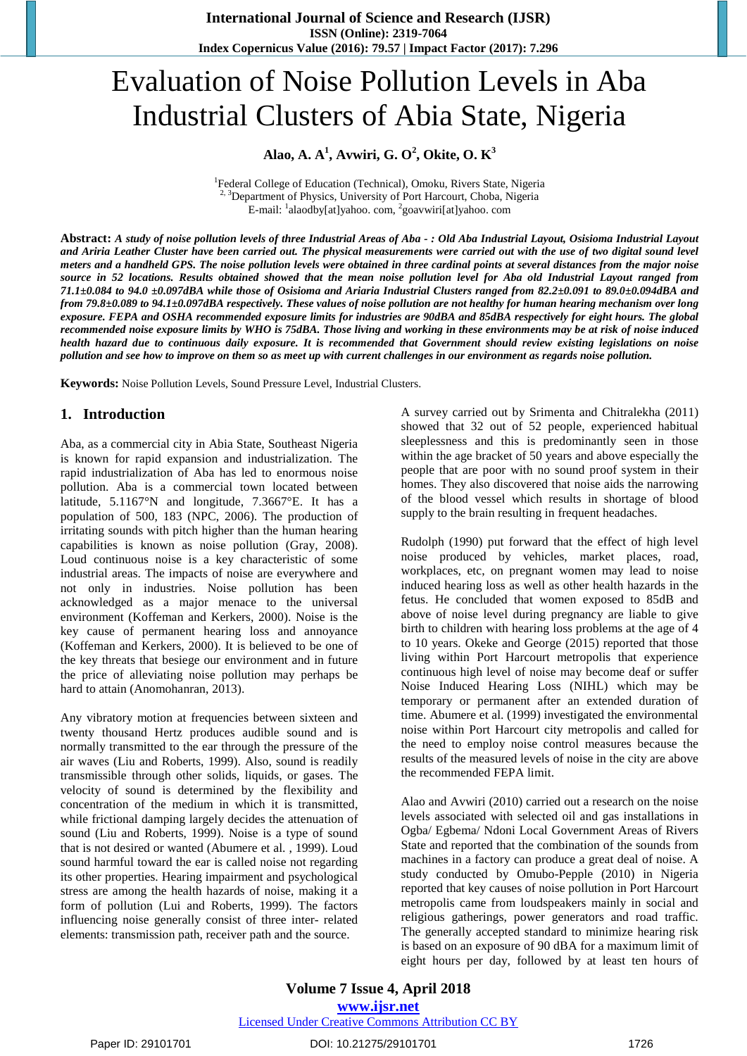# Evaluation of Noise Pollution Levels in Aba Industrial Clusters of Abia State, Nigeria

# **Alao, A. A 1 , Avwiri, G. O 2 , Okite, O. K 3**

<sup>1</sup>Federal College of Education (Technical), Omoku, Rivers State, Nigeria <sup>2, 3</sup>Department of Physics, University of Port Harcourt, Choba, Nigeria E-mail: <sup>1</sup>alaodby[at]yahoo. com, <sup>2</sup>goavwiri[at]yahoo. com

Abstract: A study of noise pollution levels of three Industrial Areas of Aba - : Old Aba Industrial Layout, Osisioma Industrial Layout and Ariria Leather Cluster have been carried out. The physical measurements were carried out with the use of two digital sound level meters and a handheld GPS. The noise pollution levels were obtained in three cardinal points at several distances from the major noise source in 52 locations. Results obtained showed that the mean noise pollution level for Aba old Industrial Layout ranged from 71.1±0.084 to 94.0 ±0.097dBA while those of Osisioma and Ariaria Industrial Clusters ranged from 82.2±0.091 to 89.0±0.094dBA and from 79.8±0.089 to 94.1±0.097dBA respectively. These values of noise pollution are not healthy for human hearing mechanism over long exposure. FEPA and OSHA recommended exposure limits for industries are 90dBA and 85dBA respectively for eight hours. The global recommended noise exposure limits by WHO is 75dBA. Those living and working in these environments may be at risk of noise induced health hazard due to continuous daily exposure. It is recommended that Government should review existing legislations on noise pollution and see how to improve on them so as meet up with current challenges in our environment as regards noise pollution.

**Keywords:** Noise Pollution Levels, Sound Pressure Level, Industrial Clusters.

### **1. Introduction**

Aba, as a commercial city in Abia State, Southeast Nigeria is known for rapid expansion and industrialization. The rapid industrialization of Aba has led to enormous noise pollution. Aba is a commercial town located between latitude, 5.1167°N and longitude, 7.3667°E. It has a population of 500, 183 (NPC, 2006). The production of irritating sounds with pitch higher than the human hearing capabilities is known as noise pollution (Gray, 2008). Loud continuous noise is a key characteristic of some industrial areas. The impacts of noise are everywhere and not only in industries. Noise pollution has been acknowledged as a major menace to the universal environment (Koffeman and Kerkers, 2000). Noise is the key cause of permanent hearing loss and annoyance (Koffeman and Kerkers, 2000). It is believed to be one of the key threats that besiege our environment and in future the price of alleviating noise pollution may perhaps be hard to attain (Anomohanran, 2013).

Any vibratory motion at frequencies between sixteen and twenty thousand Hertz produces audible sound and is normally transmitted to the ear through the pressure of the air waves (Liu and Roberts, 1999). Also, sound is readily transmissible through other solids, liquids, or gases. The velocity of sound is determined by the flexibility and concentration of the medium in which it is transmitted, while frictional damping largely decides the attenuation of sound (Liu and Roberts, 1999). Noise is a type of sound that is not desired or wanted (Abumere et al. , 1999). Loud sound harmful toward the ear is called noise not regarding its other properties. Hearing impairment and psychological stress are among the health hazards of noise, making it a form of pollution (Lui and Roberts, 1999). The factors influencing noise generally consist of three inter- related elements: transmission path, receiver path and the source.

A survey carried out by Srimenta and Chitralekha (2011) showed that 32 out of 52 people, experienced habitual sleeplessness and this is predominantly seen in those within the age bracket of 50 years and above especially the people that are poor with no sound proof system in their homes. They also discovered that noise aids the narrowing of the blood vessel which results in shortage of blood supply to the brain resulting in frequent headaches.

Rudolph (1990) put forward that the effect of high level noise produced by vehicles, market places, road, workplaces, etc, on pregnant women may lead to noise induced hearing loss as well as other health hazards in the fetus. He concluded that women exposed to 85dB and above of noise level during pregnancy are liable to give birth to children with hearing loss problems at the age of 4 to 10 years. Okeke and George (2015) reported that those living within Port Harcourt metropolis that experience continuous high level of noise may become deaf or suffer Noise Induced Hearing Loss (NIHL) which may be temporary or permanent after an extended duration of time. Abumere et al. (1999) investigated the environmental noise within Port Harcourt city metropolis and called for the need to employ noise control measures because the results of the measured levels of noise in the city are above the recommended FEPA limit.

Alao and Avwiri (2010) carried out a research on the noise levels associated with selected oil and gas installations in Ogba/ Egbema/ Ndoni Local Government Areas of Rivers State and reported that the combination of the sounds from machines in a factory can produce a great deal of noise. A study conducted by Omubo-Pepple (2010) in Nigeria reported that key causes of noise pollution in Port Harcourt metropolis came from loudspeakers mainly in social and religious gatherings, power generators and road traffic. The generally accepted standard to minimize hearing risk is based on an exposure of 90 dBA for a maximum limit of eight hours per day, followed by at least ten hours of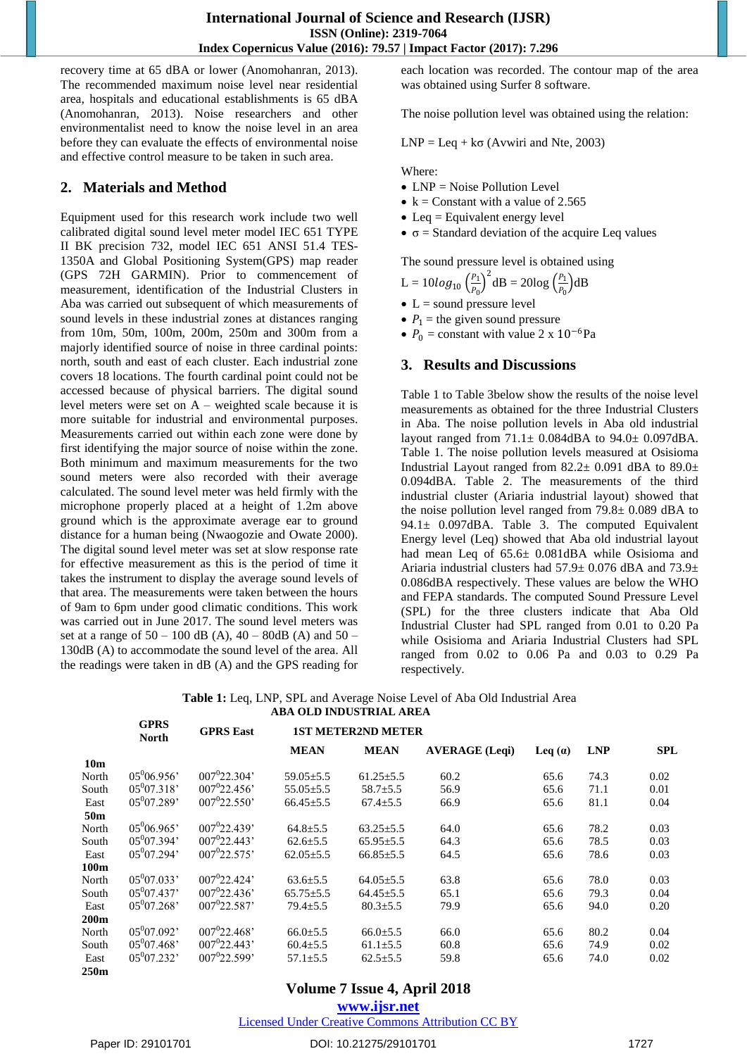recovery time at 65 dBA or lower (Anomohanran, 2013). The recommended maximum noise level near residential area, hospitals and educational establishments is 65 dBA (Anomohanran, 2013). Noise researchers and other environmentalist need to know the noise level in an area before they can evaluate the effects of environmental noise and effective control measure to be taken in such area.

# **2. Materials and Method**

Equipment used for this research work include two well calibrated digital sound level meter model IEC 651 TYPE II BK precision 732, model IEC 651 ANSI 51.4 TES-1350A and Global Positioning System(GPS) map reader (GPS 72H GARMIN). Prior to commencement of measurement, identification of the Industrial Clusters in Aba was carried out subsequent of which measurements of sound levels in these industrial zones at distances ranging from 10m, 50m, 100m, 200m, 250m and 300m from a majorly identified source of noise in three cardinal points: north, south and east of each cluster. Each industrial zone covers 18 locations. The fourth cardinal point could not be accessed because of physical barriers. The digital sound level meters were set on A – weighted scale because it is more suitable for industrial and environmental purposes. Measurements carried out within each zone were done by first identifying the major source of noise within the zone. Both minimum and maximum measurements for the two sound meters were also recorded with their average calculated. The sound level meter was held firmly with the microphone properly placed at a height of 1.2m above ground which is the approximate average ear to ground distance for a human being (Nwaogozie and Owate 2000). The digital sound level meter was set at slow response rate for effective measurement as this is the period of time it takes the instrument to display the average sound levels of that area. The measurements were taken between the hours of 9am to 6pm under good climatic conditions. This work was carried out in June 2017. The sound level meters was set at a range of  $50 - 100$  dB (A),  $40 - 80$ dB (A) and  $50 -$ 130dB (A) to accommodate the sound level of the area. All the readings were taken in dB (A) and the GPS reading for

each location was recorded. The contour map of the area was obtained using Surfer 8 software.

The noise pollution level was obtained using the relation:

 $LNP = Leq + k\sigma$  (Avwiri and Nte, 2003)

#### Where:

- $\bullet$  LNP = Noise Pollution Level
- $k =$  Constant with a value of 2.565
- $\bullet$  Leq = Equivalent energy level
- $\bullet$   $\sigma$  = Standard deviation of the acquire Leq values

The sound pressure level is obtained using

 $L = 10log_{10} \left( \frac{P_1}{P_0} \right)$  $\left(\frac{P_1}{P_0}\right)^2$ dB = 20log  $\left(\frac{P_1}{P_0}\right)^2$  $\frac{r_1}{P_0}$  dB

- $\bullet$  L = sound pressure level
- $P_1$  = the given sound pressure
- $P_0$  = constant with value 2 x 10<sup>-6</sup>Pa

# **3. Results and Discussions**

Table 1 to Table 3below show the results of the noise level measurements as obtained for the three Industrial Clusters in Aba. The noise pollution levels in Aba old industrial layout ranged from  $71.1 \pm 0.084$ dBA to  $94.0 \pm 0.097$ dBA. Table 1. The noise pollution levels measured at Osisioma Industrial Layout ranged from  $82.2 \pm 0.091$  dBA to  $89.0 \pm$ 0.094dBA. Table 2. The measurements of the third industrial cluster (Ariaria industrial layout) showed that the noise pollution level ranged from 79.8± 0.089 dBA to 94.1 $\pm$  0.097dBA. Table 3. The computed Equivalent Energy level (Leq) showed that Aba old industrial layout had mean Leq of 65.6± 0.081dBA while Osisioma and Ariaria industrial clusters had 57.9± 0.076 dBA and 73.9± 0.086dBA respectively. These values are below the WHO and FEPA standards. The computed Sound Pressure Level (SPL) for the three clusters indicate that Aba Old Industrial Cluster had SPL ranged from 0.01 to 0.20 Pa while Osisioma and Ariaria Industrial Clusters had SPL ranged from 0.02 to 0.06 Pa and 0.03 to 0.29 Pa respectively.

**Table 1:** Leq, LNP, SPL and Average Noise Level of Aba Old Industrial Area **ABA OLD INDUSTRIAL AREA**

|                 | <b>GPRS</b><br><b>North</b> | <b>GPRS East</b>         | <b>1ST METER2ND METER</b> |                 |                       |           |            |            |  |
|-----------------|-----------------------------|--------------------------|---------------------------|-----------------|-----------------------|-----------|------------|------------|--|
|                 |                             |                          | <b>MEAN</b>               | <b>MEAN</b>     | <b>AVERAGE</b> (Legi) | Leq $(a)$ | <b>LNP</b> | <b>SPL</b> |  |
| 10 <sub>m</sub> |                             |                          |                           |                 |                       |           |            |            |  |
| North           | $05^{0}06.956'$             | $007^{0}22.304'$         | $59.05 \pm 5.5$           | $61.25 \pm 5.5$ | 60.2                  | 65.6      | 74.3       | 0.02       |  |
| South           | $05^{0}07.318'$             | $007^{0}22.456'$         | $55.05 \pm 5.5$           | $58.7 \pm 5.5$  | 56.9                  | 65.6      | 71.1       | 0.01       |  |
| East            | $05^{0}07.289'$             | $007^{0}22.550'$         | $66.45 \pm 5.5$           | $67.4 \pm 5.5$  | 66.9                  | 65.6      | 81.1       | 0.04       |  |
| 50 <sub>m</sub> |                             |                          |                           |                 |                       |           |            |            |  |
| North           | $05^{0}06.965'$             | $0.07^{0}$ 2.2.439'      | $64.8 \pm 5.5$            | $63.25 \pm 5.5$ | 64.0                  | 65.6      | 78.2       | 0.03       |  |
| South           | $05^{0}07.394'$             | $007^{0}22.443'$         | $62.6 \pm 5.5$            | $65.95 \pm 5.5$ | 64.3                  | 65.6      | 78.5       | 0.03       |  |
| East            | $05^{0}07.294'$             | 007 <sup>0</sup> 22.575' | $62.05 \pm 5.5$           | $66.85 \pm 5.5$ | 64.5                  | 65.6      | 78.6       | 0.03       |  |
| 100m            |                             |                          |                           |                 |                       |           |            |            |  |
| North           | $05^{0}07.033'$             | $007^{0}22.424'$         | $63.6 \pm 5.5$            | $64.05 \pm 5.5$ | 63.8                  | 65.6      | 78.0       | 0.03       |  |
| South           | $05^{0}07.437'$             | $007^{0}22.436'$         | $65.75 \pm 5.5$           | $64.45 \pm 5.5$ | 65.1                  | 65.6      | 79.3       | 0.04       |  |
| East            | $05^{0}07.268'$             | $007^{0}22.587'$         | $79.4 \pm 5.5$            | $80.3 \pm 5.5$  | 79.9                  | 65.6      | 94.0       | 0.20       |  |
| 200m            |                             |                          |                           |                 |                       |           |            |            |  |
| North           | $05^{0}07.092'$             | $007^{0}22.468'$         | $66.0 \pm 5.5$            | $66.0 \pm 5.5$  | 66.0                  | 65.6      | 80.2       | 0.04       |  |
| South           | $05^{0}07.468'$             | $007^{0}22.443'$         | $60.4 \pm 5.5$            | $61.1 \pm 5.5$  | 60.8                  | 65.6      | 74.9       | 0.02       |  |
| East            | $05^{0}07.232'$             | 007 <sup>0</sup> 22.599' | $57.1 \pm 5.5$            | $62.5 \pm 5.5$  | 59.8                  | 65.6      | 74.0       | 0.02       |  |
| 250m            |                             |                          |                           |                 |                       |           |            |            |  |

# **Volume 7 Issue 4, April 2018**

**<www.ijsr.net>**

[Licensed Under Creative Commons Attribution CC BY](http://creativecommons.org/licenses/by/4.0/)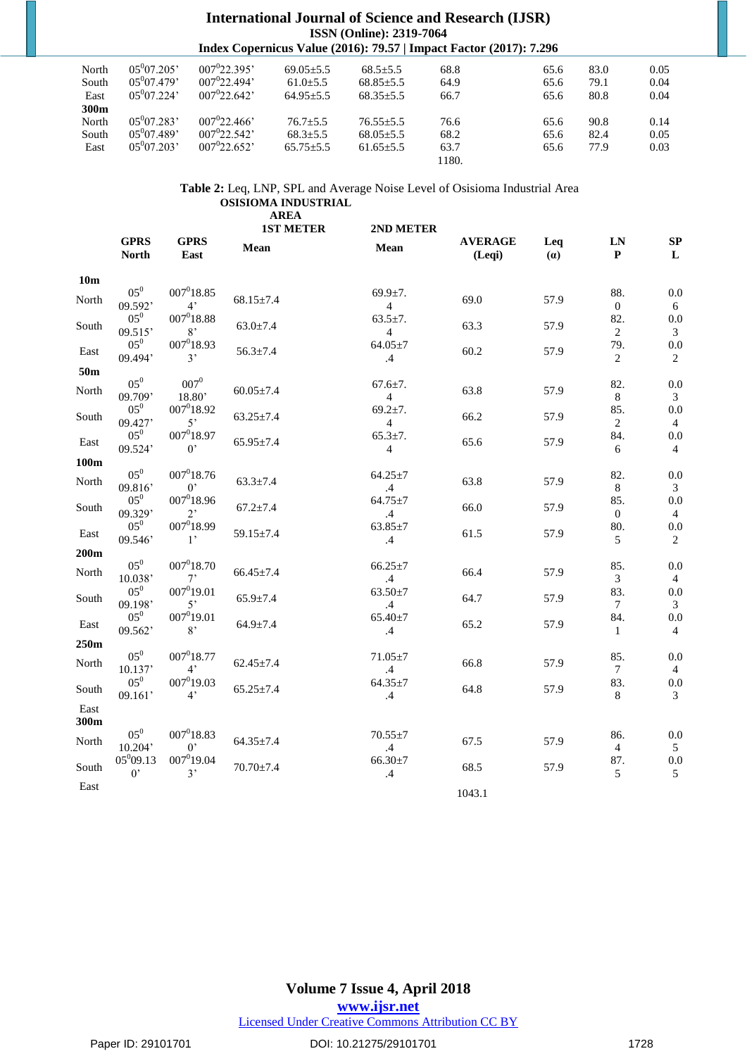#### **International Journal of Science and Research (IJSR) ISSN (Online): 2319-7064 Index Copernicus Value (2016): 79.57 | Impact Factor (2017): 7.296**

| North | $05^{0}07.205'$ | $007^{0}22.395'$    | $69.05 + 5.5$   | $68.5 \pm 5.5$  | 68.8  | 65.6 | 83.0 | 0.05 |
|-------|-----------------|---------------------|-----------------|-----------------|-------|------|------|------|
| South | $05^{0}07.479'$ | $0.07^{0}$ 2.2.494' | $61.0 + 5.5$    | $68.85 \pm 5.5$ | 64.9  | 65.6 | 79.1 | 0.04 |
| East  | $05^{0}07.224'$ | $007^{0}22.642'$    | $64.95 + 5.5$   | $68.35 + 5.5$   | 66.7  | 65.6 | 80.8 | 0.04 |
| 300m  |                 |                     |                 |                 |       |      |      |      |
| North | $05^{0}07.283'$ | $007^{0}22.466'$    | $76.7 + 5.5$    | $76.55 + 5.5$   | 76.6  | 65.6 | 90.8 | 0.14 |
| South | $05^{0}07.489'$ | $007^{0}22.542'$    | $68.3 \pm 5.5$  | $68.05 \pm 5.5$ | 68.2  | 65.6 | 82.4 | 0.05 |
| East  | $05^{0}07.203'$ | $007^{0}22.652'$    | $65.75 \pm 5.5$ | $61.65 \pm 5.5$ | 63.7  | 65.6 | 77.9 | 0.03 |
|       |                 |                     |                 |                 | 1180. |      |      |      |

**Table 2:** Leq, LNP, SPL and Average Noise Level of Osisioma Industrial Area **OSISIOMA INDUSTRIAL**

|                 |                              |                                 | <b>AREA</b><br><b>1ST METER</b> | 2ND METER                        |                          |            |                         |                       |
|-----------------|------------------------------|---------------------------------|---------------------------------|----------------------------------|--------------------------|------------|-------------------------|-----------------------|
|                 | <b>GPRS</b><br><b>North</b>  | <b>GPRS</b><br>East             | Mean                            | Mean                             | <b>AVERAGE</b><br>(Leqi) | Leq<br>(a) | LN<br>${\bf P}$         | SP<br>L               |
| 10 <sub>m</sub> |                              |                                 |                                 |                                  |                          |            |                         |                       |
| North           | $05^0$<br>09.592'            | $007^018.85$<br>4 <sup>2</sup>  | $68.15 \pm 7.4$                 | $69.9 \pm 7.$<br>$\overline{4}$  | 69.0                     | 57.9       | 88.<br>$\boldsymbol{0}$ | 0.0<br>6              |
| South           | $05^0$<br>09.515'            | $007^018.88$<br>8'              | $63.0 \pm 7.4$                  | $63.5 \pm 7.$<br>$\overline{4}$  | 63.3                     | 57.9       | 82.<br>2                | 0.0<br>3              |
| East            | $05^0$<br>09.494'            | $007^018.93$<br>3'              | $56.3 \pm 7.4$                  | $64.05 \pm 7$<br>$.4\phantom{0}$ | 60.2                     | 57.9       | 79.<br>2                | 0.0<br>2              |
| 50 <sub>m</sub> |                              |                                 |                                 |                                  |                          |            |                         |                       |
| North           | $05^0$<br>09.709'            | $007^0$<br>18.80'               | $60.05 \pm 7.4$                 | $67.6 \pm 7.$<br>$\overline{4}$  | 63.8                     | 57.9       | 82.<br>$8\,$            | 0.0<br>3              |
| South           | $05^0$<br>09.427'            | $007^018.92$<br>5'              | $63.25 \pm 7.4$                 | $69.2 \pm 7.$<br>$\overline{4}$  | 66.2                     | 57.9       | 85.<br>2                | 0.0<br>$\overline{4}$ |
| East            | $05^0$<br>09.524'            | $007^{0}18.97$<br>$0^{\circ}$   | $65.95 \pm 7.4$                 | $65.3 \pm 7.$<br>$\overline{4}$  | 65.6                     | 57.9       | 84.<br>6                | 0.0<br>$\overline{4}$ |
| 100m            |                              |                                 |                                 |                                  |                          |            |                         |                       |
| North           | $05^0$<br>09.816             | $007^018.76$<br>$0^{\circ}$     | $63.3 \pm 7.4$                  | $64.25 \pm 7$<br>$\mathcal{A}$   | 63.8                     | 57.9       | 82.<br>8                | 0.0<br>3              |
| South           | $05^0$<br>09.329'            | $007^018.96$<br>$2^{\circ}$     | $67.2 \pm 7.4$                  | $64.75 \pm 7$<br>.4              | 66.0                     | 57.9       | 85.<br>$\overline{0}$   | 0.0<br>$\overline{4}$ |
| East            | $05^0$<br>09.546'            | $007^018.99$<br>1,              | $59.15 \pm 7.4$                 | $63.85 \pm 7$<br>$.4\phantom{0}$ | 61.5                     | 57.9       | 80.<br>5                | 0.0<br>$\overline{c}$ |
| 200m            |                              |                                 |                                 |                                  |                          |            |                         |                       |
| North           | $05^0$<br>10.038'            | $007^018.70$<br>$7^{\circ}$     | $66.45 \pm 7.4$                 | $66.25 \pm 7$<br>$.4\phantom{0}$ | 66.4                     | 57.9       | 85.<br>3                | 0.0<br>$\overline{4}$ |
| South           | $05^0$<br>09.198'            | $007^0$ 19.01<br>$5^{\circ}$    | $65.9 \pm 7.4$                  | $63.50 \pm 7$<br>$.4\phantom{0}$ | 64.7                     | 57.9       | 83.<br>$\tau$           | 0.0<br>3              |
| East            | $05^0$<br>09.562'            | $007^019.01$<br>8,              | $64.9 \pm 7.4$                  | $65.40 \pm 7$<br>$.4\phantom{0}$ | 65.2                     | 57.9       | 84.<br>1                | 0.0<br>4              |
| 250m            |                              |                                 |                                 |                                  |                          |            |                         |                       |
| North           | $05^0$<br>10.137'            | $007^018.77$<br>$4^{\circ}$     | $62.45 \pm 7.4$                 | $71.05 \pm 7$<br>$.4\phantom{0}$ | 66.8                     | 57.9       | 85.<br>7                | 0.0<br>$\overline{4}$ |
| South           | $05^0$<br>09.161'            | $007^0$ 19.03<br>4 <sup>2</sup> | $65.25 \pm 7.4$                 | $64.35 \pm 7$<br>$.4\,$          | 64.8                     | 57.9       | 83.<br>8                | 0.0<br>3              |
| East<br>300m    |                              |                                 |                                 |                                  |                          |            |                         |                       |
| North           | $05^0$<br>10.204'            | $007^018.83$<br>$0^{\circ}$     | $64.35 \pm 7.4$                 | $70.55 \pm 7$<br>$.4\,$          | 67.5                     | 57.9       | 86.<br>4                | 0.0<br>5              |
| South           | $05^{0}09.13$<br>$0^{\circ}$ | $007^0$ 19.04<br>3'             | $70.70 \pm 7.4$                 | $66.30 \pm 7$<br>.4              | 68.5                     | 57.9       | 87.<br>5                | 0.0<br>5              |
| East            |                              |                                 |                                 |                                  | 1043.1                   |            |                         |                       |

**Volume 7 Issue 4, April 2018**

**<www.ijsr.net>**

[Licensed Under Creative Commons Attribution CC BY](http://creativecommons.org/licenses/by/4.0/)

Paper ID: 29101701 **DOI: 10.21275/29101701 DOI: 10.21275/29101701** 1728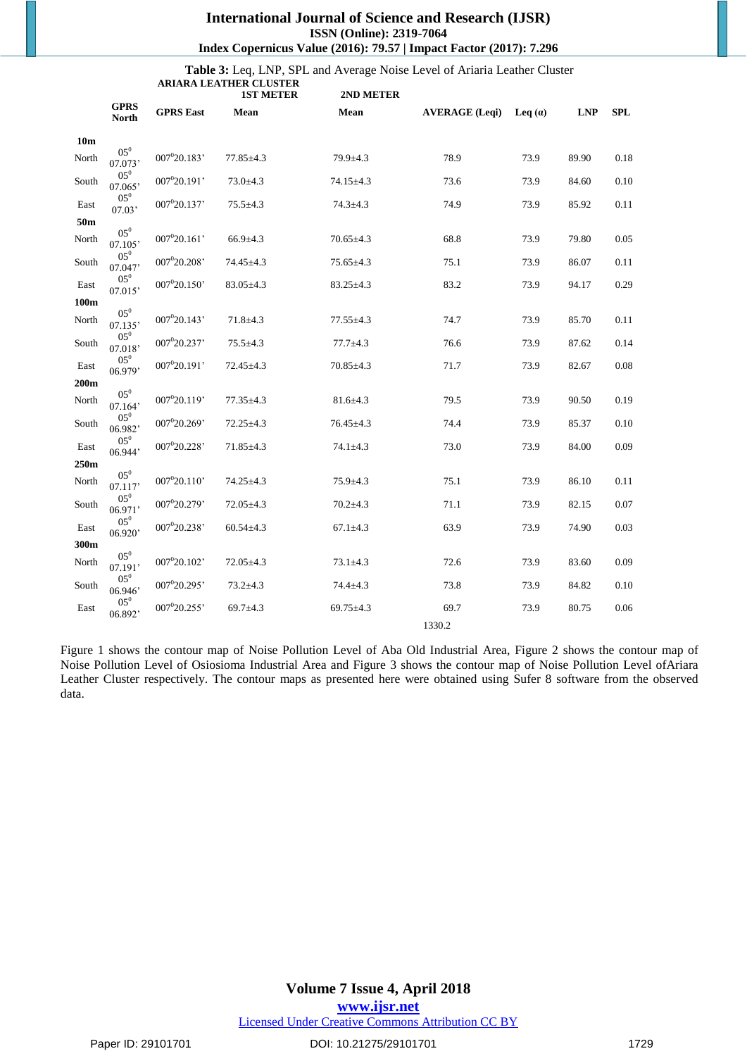#### **International Journal of Science and Research (IJSR) ISSN (Online): 2319-7064 Index Copernicus Value (2016): 79.57 | Impact Factor (2017): 7.296**

**Table 3:** Leq, LNP, SPL and Average Noise Level of Ariaria Leather Cluster **ARIARA LEATHER CLUSTER**

|                 |                             |                          | <b>1ST METER</b> | 2ND METER       |                       |           |            |            |
|-----------------|-----------------------------|--------------------------|------------------|-----------------|-----------------------|-----------|------------|------------|
|                 | <b>GPRS</b><br><b>North</b> | <b>GPRS</b> East         | Mean             | Mean            | <b>AVERAGE</b> (Leqi) | Leq $(a)$ | <b>LNP</b> | <b>SPL</b> |
| 10 <sub>m</sub> |                             |                          |                  |                 |                       |           |            |            |
| North           | $05^0$<br>07.073'           | 007020.183'              | $77.85 \pm 4.3$  | 79.9±4.3        | 78.9                  | 73.9      | 89.90      | 0.18       |
| South           | $05^0$<br>07.065'           | 007°20.191'              | $73.0 + 4.3$     | 74.15±4.3       | 73.6                  | 73.9      | 84.60      | 0.10       |
| East            | $05^0$<br>07.03'            | 007°20.137'              | $75.5 \pm 4.3$   | $74.3 \pm 4.3$  | 74.9                  | 73.9      | 85.92      | 0.11       |
| 50m             |                             |                          |                  |                 |                       |           |            |            |
| North           | $05^0$<br>07.105'           | $007^{0}20.161'$         | $66.9{\pm}4.3$   | $70.65 \pm 4.3$ | 68.8                  | 73.9      | 79.80      | 0.05       |
| South           | $05^0$<br>07.047'           | $007^020.208$            | 74.45±4.3        | $75.65 \pm 4.3$ | 75.1                  | 73.9      | 86.07      | 0.11       |
| East            | $05^0$<br>07.015'           | 007 <sup>0</sup> 20.150' | $83.05 \pm 4.3$  | $83.25 \pm 4.3$ | 83.2                  | 73.9      | 94.17      | 0.29       |
| 100m            |                             |                          |                  |                 |                       |           |            |            |
| North           | $05^0$<br>07.135'           | 007 <sup>0</sup> 20.143' | $71.8 + 4.3$     | $77.55 \pm 4.3$ | 74.7                  | 73.9      | 85.70      | 0.11       |
| South           | $05^0$<br>07.018'           | 007 <sup>0</sup> 20.237' | $75.5 \pm 4.3$   | $77.7 \pm 4.3$  | 76.6                  | 73.9      | 87.62      | 0.14       |
| East            | $05^0$<br>06.979'           | 007 <sup>0</sup> 20.191' | $72.45 \pm 4.3$  | $70.85 \pm 4.3$ | 71.7                  | 73.9      | 82.67      | 0.08       |
| 200m            |                             |                          |                  |                 |                       |           |            |            |
| North           | $05^0$<br>07.164'           | 007°20.119'              | $77.35 \pm 4.3$  | $81.6 \pm 4.3$  | 79.5                  | 73.9      | 90.50      | 0.19       |
| South           | $05^0$<br>06.982'           | 007020.269'              | $72.25 \pm 4.3$  | $76.45 \pm 4.3$ | 74.4                  | 73.9      | 85.37      | 0.10       |
| East            | $05^0$<br>06.944'           | 007 <sup>0</sup> 20.228' | $71.85 \pm 4.3$  | $74.1 \pm 4.3$  | 73.0                  | 73.9      | 84.00      | 0.09       |
| 250m            |                             |                          |                  |                 |                       |           |            |            |
| North           | $05^0$<br>07.117'           | 007020.110'              | $74.25 \pm 4.3$  | $75.9 \pm 4.3$  | 75.1                  | 73.9      | 86.10      | 0.11       |
| South           | $05^0$<br>06.971'           | 007020.279'              | $72.05 \pm 4.3$  | $70.2{\pm}4.3$  | 71.1                  | 73.9      | 82.15      | 0.07       |
| East            | $05^0$<br>06.920'           | 007°20.238'              | $60.54 \pm 4.3$  | $67.1 \pm 4.3$  | 63.9                  | 73.9      | 74.90      | 0.03       |
| 300m            |                             |                          |                  |                 |                       |           |            |            |
| North           | $05^0$<br>07.191'           | 007°20.102'              | $72.05 \pm 4.3$  | $73.1 \pm 4.3$  | 72.6                  | 73.9      | 83.60      | 0.09       |
| South           | $05^0$<br>06.946'           | 007°20.295'              | $73.2 \pm 4.3$   | $74.4 \pm 4.3$  | 73.8                  | 73.9      | 84.82      | 0.10       |
| East            | $05^0$<br>06.892'           | 007020.255'              | 69.7 $\pm$ 4.3   | $69.75 \pm 4.3$ | 69.7                  | 73.9      | 80.75      | 0.06       |
|                 |                             |                          |                  |                 | 1330.2                |           |            |            |

Figure 1 shows the contour map of Noise Pollution Level of Aba Old Industrial Area, Figure 2 shows the contour map of Noise Pollution Level of Osiosioma Industrial Area and Figure 3 shows the contour map of Noise Pollution Level ofAriara Leather Cluster respectively. The contour maps as presented here were obtained using Sufer 8 software from the observed data.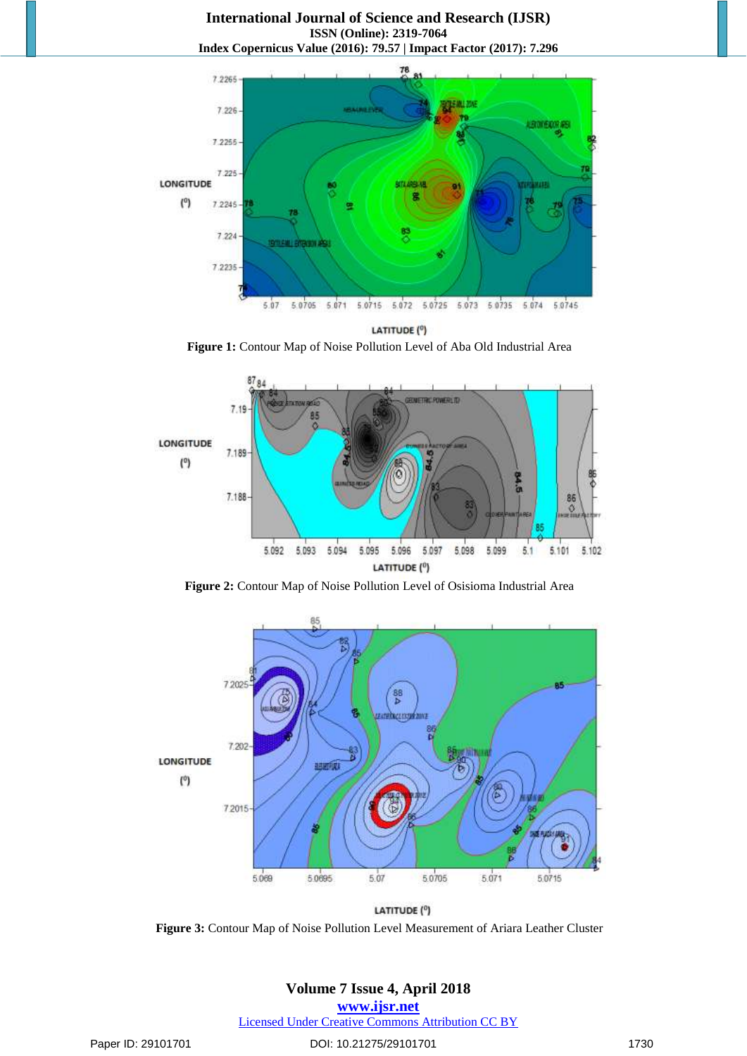**International Journal of Science and Research (IJSR) ISSN (Online): 2319-7064 Index Copernicus Value (2016): 79.57 | Impact Factor (2017): 7.296**



LATITUDE<sup>(0</sup>)

**Figure 1:** Contour Map of Noise Pollution Level of Aba Old Industrial Area



**Figure 2:** Contour Map of Noise Pollution Level of Osisioma Industrial Area



LATITUDE (°)

**Figure 3:** Contour Map of Noise Pollution Level Measurement of Ariara Leather Cluster

# **Volume 7 Issue 4, April 2018**

**<www.ijsr.net>**

[Licensed Under Creative Commons Attribution CC BY](http://creativecommons.org/licenses/by/4.0/)

Paper ID: 29101701 **DOI: 10.21275/29101701** 1730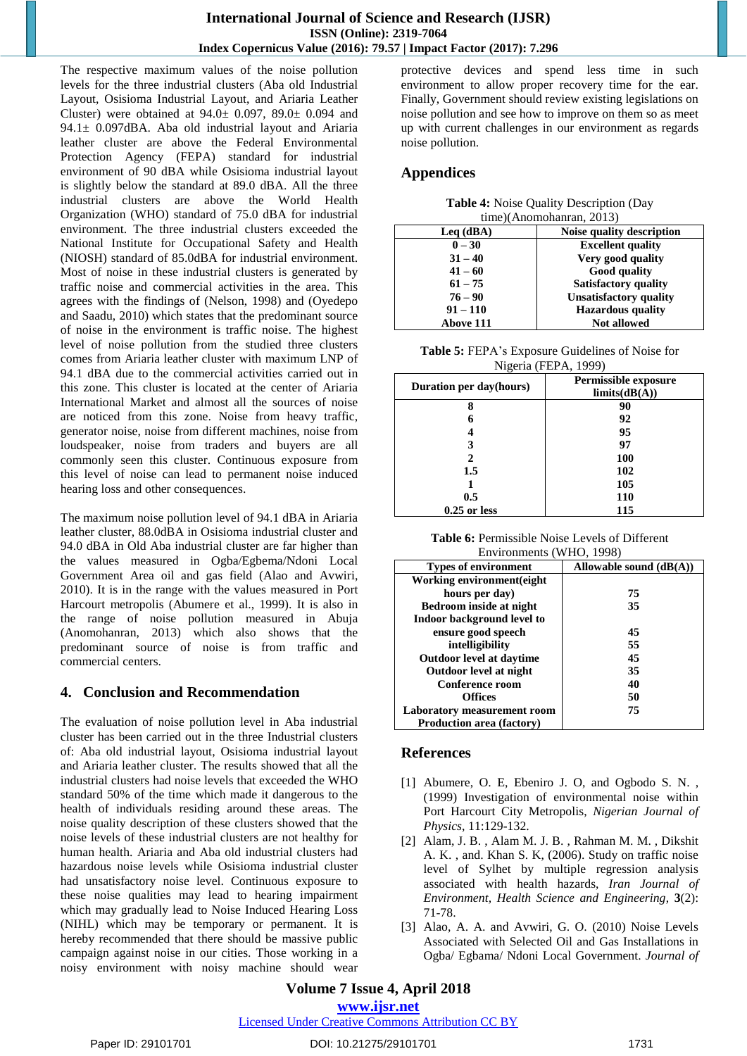The respective maximum values of the noise pollution levels for the three industrial clusters (Aba old Industrial Layout, Osisioma Industrial Layout, and Ariaria Leather Cluster) were obtained at  $94.0 \pm 0.097$ ,  $89.0 \pm 0.094$  and 94.1± 0.097dBA. Aba old industrial layout and Ariaria leather cluster are above the Federal Environmental Protection Agency (FEPA) standard for industrial environment of 90 dBA while Osisioma industrial layout is slightly below the standard at 89.0 dBA. All the three industrial clusters are above the World Health Organization (WHO) standard of 75.0 dBA for industrial environment. The three industrial clusters exceeded the National Institute for Occupational Safety and Health (NIOSH) standard of 85.0dBA for industrial environment. Most of noise in these industrial clusters is generated by traffic noise and commercial activities in the area. This agrees with the findings of (Nelson, 1998) and (Oyedepo and Saadu, 2010) which states that the predominant source of noise in the environment is traffic noise. The highest level of noise pollution from the studied three clusters comes from Ariaria leather cluster with maximum LNP of 94.1 dBA due to the commercial activities carried out in this zone. This cluster is located at the center of Ariaria International Market and almost all the sources of noise are noticed from this zone. Noise from heavy traffic, generator noise, noise from different machines, noise from loudspeaker, noise from traders and buyers are all commonly seen this cluster. Continuous exposure from this level of noise can lead to permanent noise induced hearing loss and other consequences.

The maximum noise pollution level of 94.1 dBA in Ariaria leather cluster, 88.0dBA in Osisioma industrial cluster and 94.0 dBA in Old Aba industrial cluster are far higher than the values measured in Ogba/Egbema/Ndoni Local Government Area oil and gas field (Alao and Avwiri, 2010). It is in the range with the values measured in Port Harcourt metropolis (Abumere et al., 1999). It is also in the range of noise pollution measured in Abuja (Anomohanran, 2013) which also shows that the predominant source of noise is from traffic and commercial centers.

# **4. Conclusion and Recommendation**

The evaluation of noise pollution level in Aba industrial cluster has been carried out in the three Industrial clusters of: Aba old industrial layout, Osisioma industrial layout and Ariaria leather cluster. The results showed that all the industrial clusters had noise levels that exceeded the WHO standard 50% of the time which made it dangerous to the health of individuals residing around these areas. The noise quality description of these clusters showed that the noise levels of these industrial clusters are not healthy for human health. Ariaria and Aba old industrial clusters had hazardous noise levels while Osisioma industrial cluster had unsatisfactory noise level. Continuous exposure to these noise qualities may lead to hearing impairment which may gradually lead to Noise Induced Hearing Loss (NIHL) which may be temporary or permanent. It is hereby recommended that there should be massive public campaign against noise in our cities. Those working in a noisy environment with noisy machine should wear

protective devices and spend less time in such environment to allow proper recovery time for the ear. Finally, Government should review existing legislations on noise pollution and see how to improve on them so as meet up with current challenges in our environment as regards noise pollution.

# **Appendices**

| Table 4: Noise Quality Description (Day |  |
|-----------------------------------------|--|
| time)(Anomohanran, 2013)                |  |

|                          | $\mu$ <sub>1111</sub> $\mu$ $\lambda$ 1101110114111411, 2013) |
|--------------------------|---------------------------------------------------------------|
| $\text{Leq}(\text{dBA})$ | Noise quality description                                     |
| $0 - 30$                 | <b>Excellent quality</b>                                      |
| $31 - 40$                | Very good quality                                             |
| $41 - 60$                | Good quality                                                  |
| $61 - 75$                | <b>Satisfactory quality</b>                                   |
| $76 - 90$                | <b>Unsatisfactory quality</b>                                 |
| $91 - 110$               | <b>Hazardous</b> quality                                      |
| <b>Above 111</b>         | Not allowed                                                   |
|                          |                                                               |

**Table 5:** FEPA's Exposure Guidelines of Noise for Nigeria (FEPA, 1999)

| Duration per day(hours) | Permissible exposure<br>limits(dB(A)) |
|-------------------------|---------------------------------------|
| 8                       | 90                                    |
|                         | 92                                    |
|                         | 95                                    |
|                         | 97                                    |
|                         | 100                                   |
| $1.5\,$                 | 102                                   |
|                         | 105                                   |
| 0.5                     | 110                                   |
| $0.25$ or less          | 115                                   |

| <b>Table 6:</b> Permissible Noise Levels of Different |
|-------------------------------------------------------|
| Environments (WHO, 1998)                              |

| <b>Types of environment</b>      | Allowable sound $(dB(A))$ |
|----------------------------------|---------------------------|
| Working environment (eight       |                           |
| hours per day)                   | 75                        |
| <b>Bedroom inside at night</b>   | 35                        |
| Indoor background level to       |                           |
| ensure good speech               | 45                        |
| intelligibility                  | 55                        |
| <b>Outdoor level at daytime</b>  | 45                        |
| Outdoor level at night           | 35                        |
| <b>Conference room</b>           | 40                        |
| <b>Offices</b>                   | 50                        |
| Laboratory measurement room      | 75                        |
| <b>Production area (factory)</b> |                           |

# **References**

- [1] Abumere, O. E, Ebeniro J. O, and Ogbodo S. N. , (1999) Investigation of environmental noise within Port Harcourt City Metropolis, *Nigerian Journal of Physics*, 11:129-132.
- [2] Alam, J. B. , Alam M. J. B. , Rahman M. M. , Dikshit A. K. , and. Khan S. K, (2006). Study on traffic noise level of Sylhet by multiple regression analysis associated with health hazards, *Iran Journal of Environment, Health Science and Engineering*, **3**(2): 71-78.
- [3] Alao, A. A. and Avwiri, G. O. (2010) Noise Levels Associated with Selected Oil and Gas Installations in Ogba/ Egbama/ Ndoni Local Government. *Journal of*

# **Volume 7 Issue 4, April 2018**

**<www.ijsr.net>**

[Licensed Under Creative Commons Attribution CC BY](http://creativecommons.org/licenses/by/4.0/)